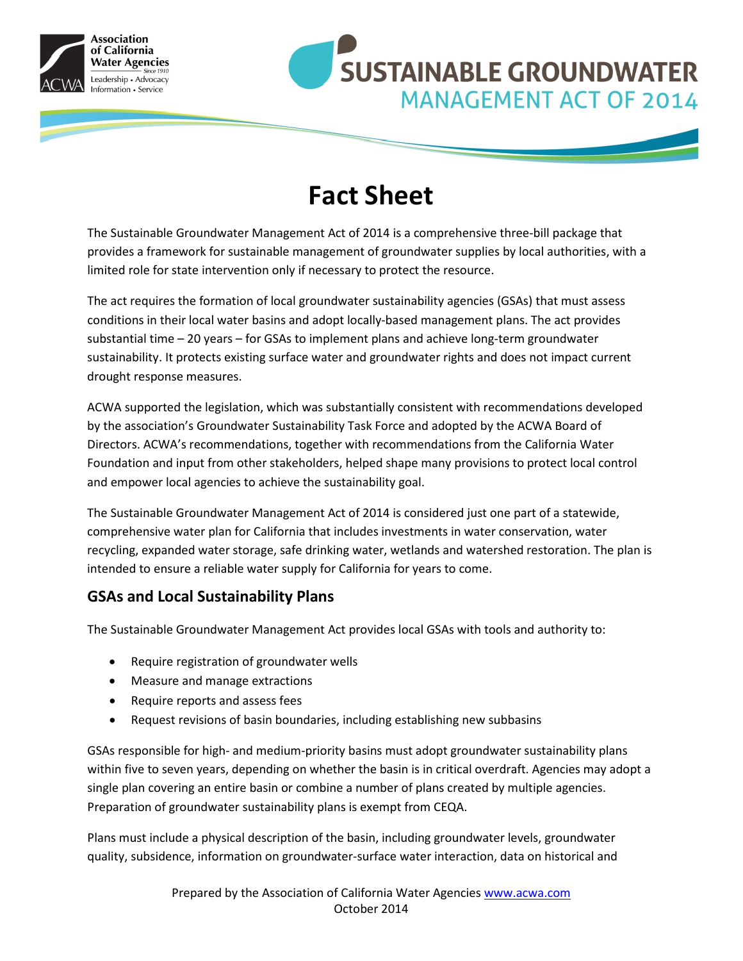



# **Fact Sheet**

The Sustainable Groundwater Management Act of 2014 is a comprehensive three-bill package that provides a framework for sustainable management of groundwater supplies by local authorities, with a limited role for state intervention only if necessary to protect the resource.

The act requires the formation of local groundwater sustainability agencies (GSAs) that must assess conditions in their local water basins and adopt locally-based management plans. The act provides substantial time – 20 years – for GSAs to implement plans and achieve long-term groundwater sustainability. It protects existing surface water and groundwater rights and does not impact current drought response measures.

ACWA supported the legislation, which was substantially consistent with recommendations developed by the association's Groundwater Sustainability Task Force and adopted by the ACWA Board of Directors. ACWA's recommendations, together with recommendations from the California Water Foundation and input from other stakeholders, helped shape many provisions to protect local control and empower local agencies to achieve the sustainability goal.

The Sustainable Groundwater Management Act of 2014 is considered just one part of a statewide, comprehensive water plan for California that includes investments in water conservation, water recycling, expanded water storage, safe drinking water, wetlands and watershed restoration. The plan is intended to ensure a reliable water supply for California for years to come.

### **GSAs and Local Sustainability Plans**

The Sustainable Groundwater Management Act provides local GSAs with tools and authority to:

- Require registration of groundwater wells
- Measure and manage extractions
- Require reports and assess fees
- Request revisions of basin boundaries, including establishing new subbasins

GSAs responsible for high- and medium-priority basins must adopt groundwater sustainability plans within five to seven years, depending on whether the basin is in critical overdraft. Agencies may adopt a single plan covering an entire basin or combine a number of plans created by multiple agencies. Preparation of groundwater sustainability plans is exempt from CEQA.

Plans must include a physical description of the basin, including groundwater levels, groundwater quality, subsidence, information on groundwater-surface water interaction, data on historical and